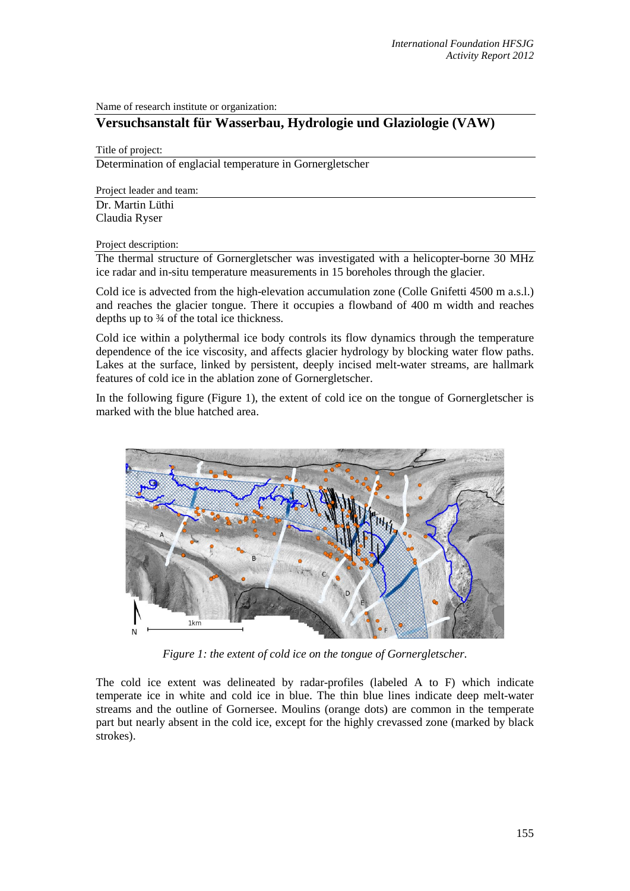Name of research institute or organization:

## **Versuchsanstalt für Wasserbau, Hydrologie und Glaziologie (VAW)**

## Title of project:

Determination of englacial temperature in Gornergletscher

Project leader and team:

Dr. Martin Lüthi Claudia Ryser

## Project description:

The thermal structure of Gornergletscher was investigated with a helicopter-borne 30 MHz ice radar and in-situ temperature measurements in 15 boreholes through the glacier.

Cold ice is advected from the high-elevation accumulation zone (Colle Gnifetti 4500 m a.s.l.) and reaches the glacier tongue. There it occupies a flowband of 400 m width and reaches depths up to ¾ of the total ice thickness.

Cold ice within a polythermal ice body controls its flow dynamics through the temperature dependence of the ice viscosity, and affects glacier hydrology by blocking water flow paths. Lakes at the surface, linked by persistent, deeply incised melt-water streams, are hallmark features of cold ice in the ablation zone of Gornergletscher.

In the following figure (Figure 1), the extent of cold ice on the tongue of Gornergletscher is marked with the blue hatched area.



*Figure 1: the extent of cold ice on the tongue of Gornergletscher.*

The cold ice extent was delineated by radar-profiles (labeled A to F) which indicate temperate ice in white and cold ice in blue. The thin blue lines indicate deep melt-water streams and the outline of Gornersee. Moulins (orange dots) are common in the temperate part but nearly absent in the cold ice, except for the highly crevassed zone (marked by black strokes).